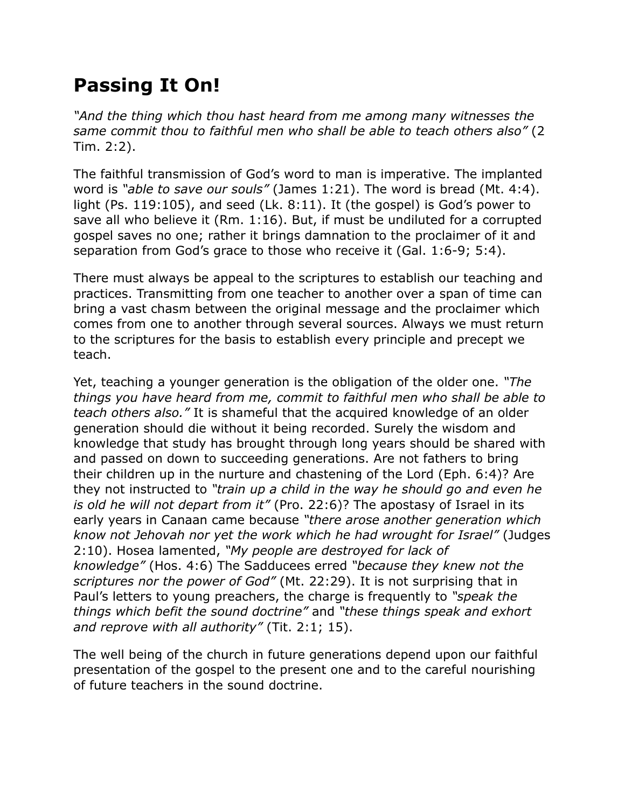## **Passing It On!**

*"And the thing which thou hast heard from me among many witnesses the same commit thou to faithful men who shall be able to teach others also"* (2 Tim. 2:2).

The faithful transmission of God's word to man is imperative. The implanted word is *"able to save our souls"* (James 1:21). The word is bread (Mt. 4:4). light (Ps. 119:105), and seed (Lk. 8:11). It (the gospel) is God's power to save all who believe it (Rm. 1:16). But, if must be undiluted for a corrupted gospel saves no one; rather it brings damnation to the proclaimer of it and separation from God's grace to those who receive it (Gal. 1:6-9; 5:4).

There must always be appeal to the scriptures to establish our teaching and practices. Transmitting from one teacher to another over a span of time can bring a vast chasm between the original message and the proclaimer which comes from one to another through several sources. Always we must return to the scriptures for the basis to establish every principle and precept we teach.

Yet, teaching a younger generation is the obligation of the older one. *"The things you have heard from me, commit to faithful men who shall be able to teach others also."* It is shameful that the acquired knowledge of an older generation should die without it being recorded. Surely the wisdom and knowledge that study has brought through long years should be shared with and passed on down to succeeding generations. Are not fathers to bring their children up in the nurture and chastening of the Lord (Eph. 6:4)? Are they not instructed to *"train up a child in the way he should go and even he is old he will not depart from it"* (Pro. 22:6)? The apostasy of Israel in its early years in Canaan came because *"there arose another generation which know not Jehovah nor yet the work which he had wrought for Israel"* (Judges 2:10). Hosea lamented, *"My people are destroyed for lack of knowledge"* (Hos. 4:6) The Sadducees erred *"because they knew not the scriptures nor the power of God"* (Mt. 22:29). It is not surprising that in Paul's letters to young preachers, the charge is frequently to *"speak the things which befit the sound doctrine"* and *"these things speak and exhort and reprove with all authority"* (Tit. 2:1; 15).

The well being of the church in future generations depend upon our faithful presentation of the gospel to the present one and to the careful nourishing of future teachers in the sound doctrine.